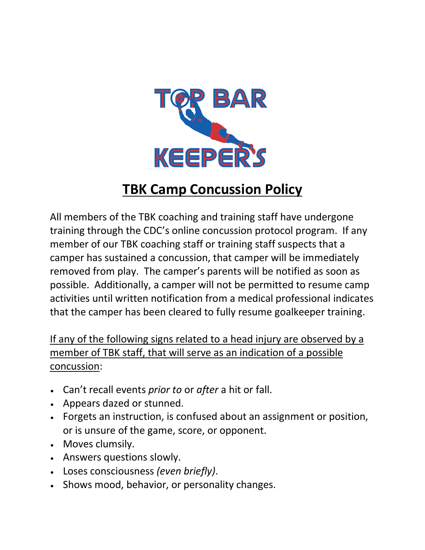

All members of the TBK coaching and training staff have undergone training through the CDC's online concussion protocol program. If any member of our TBK coaching staff or training staff suspects that a camper has sustained a concussion, that camper will be immediately removed from play. The camper's parents will be notified as soon as possible. Additionally, a camper will not be permitted to resume camp activities until written notification from a medical professional indicates that the camper has been cleared to fully resume goalkeeper training.

If any of the following signs related to a head injury are observed by a member of TBK staff, that will serve as an indication of a possible concussion:

- Can't recall events *prior to* or *after* a hit or fall.
- Appears dazed or stunned.
- Forgets an instruction, is confused about an assignment or position, or is unsure of the game, score, or opponent.
- Moves clumsily.
- Answers questions slowly.
- Loses consciousness *(even briefly)*.
- Shows mood, behavior, or personality changes.